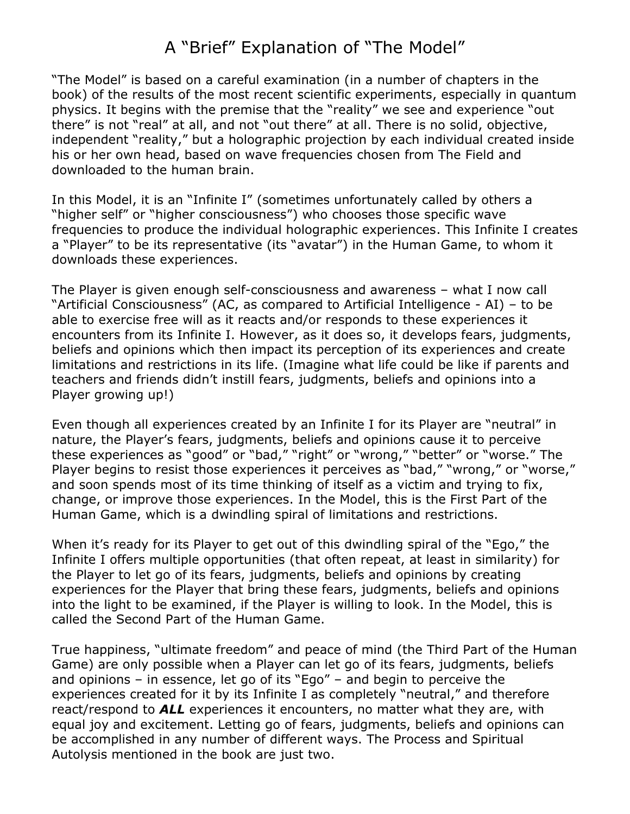## A "Brief" Explanation of "The Model"

"The Model" is based on a careful examination (in a number of chapters in the book) of the results of the most recent scientific experiments, especially in quantum physics. It begins with the premise that the "reality" we see and experience "out there" is not "real" at all, and not "out there" at all. There is no solid, objective, independent "reality," but a holographic projection by each individual created inside his or her own head, based on wave frequencies chosen from The Field and downloaded to the human brain.

In this Model, it is an "Infinite I" (sometimes unfortunately called by others a "higher self" or "higher consciousness") who chooses those specific wave frequencies to produce the individual holographic experiences. This Infinite I creates a "Player" to be its representative (its "avatar") in the Human Game, to whom it downloads these experiences.

The Player is given enough self-consciousness and awareness – what I now call "Artificial Consciousness" (AC, as compared to Artificial Intelligence - AI) – to be able to exercise free will as it reacts and/or responds to these experiences it encounters from its Infinite I. However, as it does so, it develops fears, judgments, beliefs and opinions which then impact its perception of its experiences and create limitations and restrictions in its life. (Imagine what life could be like if parents and teachers and friends didn't instill fears, judgments, beliefs and opinions into a Player growing up!)

Even though all experiences created by an Infinite I for its Player are "neutral" in nature, the Player's fears, judgments, beliefs and opinions cause it to perceive these experiences as "good" or "bad," "right" or "wrong," "better" or "worse." The Player begins to resist those experiences it perceives as "bad," "wrong," or "worse," and soon spends most of its time thinking of itself as a victim and trying to fix, change, or improve those experiences. In the Model, this is the First Part of the Human Game, which is a dwindling spiral of limitations and restrictions.

When it's ready for its Player to get out of this dwindling spiral of the "Ego," the Infinite I offers multiple opportunities (that often repeat, at least in similarity) for the Player to let go of its fears, judgments, beliefs and opinions by creating experiences for the Player that bring these fears, judgments, beliefs and opinions into the light to be examined, if the Player is willing to look. In the Model, this is called the Second Part of the Human Game.

True happiness, "ultimate freedom" and peace of mind (the Third Part of the Human Game) are only possible when a Player can let go of its fears, judgments, beliefs and opinions – in essence, let go of its "Ego" – and begin to perceive the experiences created for it by its Infinite I as completely "neutral," and therefore react/respond to *ALL* experiences it encounters, no matter what they are, with equal joy and excitement. Letting go of fears, judgments, beliefs and opinions can be accomplished in any number of different ways. The Process and Spiritual Autolysis mentioned in the book are just two.